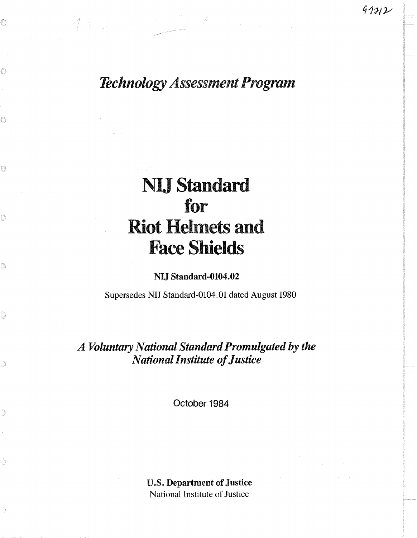*Technology Assessment Program* 

# **NIJ Standard** for **Riot Helmets and Face**

## **NU Standard-0104.02**

Supersedes **WIJ** Standard-0104.01 dated August 1980

*A Voluntary National Standard Promulgated by the National insbte* **of** *Justice* 

Qctober 1984

**U.S. Department of Justice**  National Institute of Justice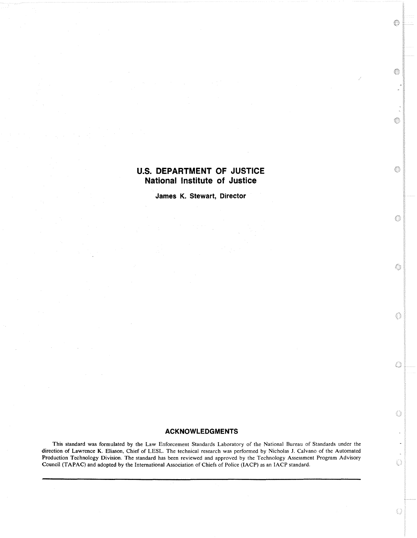## **U.S. DEPARTMENT OF JUSTICE National Institute of Justice**

Ô

O,

O

 $\circ$ 

6

O

O

 $\bigcirc$ 

 $\bigcirc$ 

♦

**James K. Stewart, Director** 

## **ACKNOWLEDGMENTS**

This standard was formulated by the Law Enforcement Standards Laboratory of the National Bureau of Standards under the direction of Lawrence K. Eliason, Chief of LESL. The technical research was performed by Nicholas J. Calvano of the Automated Production Technology Division. The standard has been reviewed and approved by the Technology Assessment Program Advisory Council (TAPAC) and adopted by the International Association of Chiefs of Police (IACP) as an IACP standard.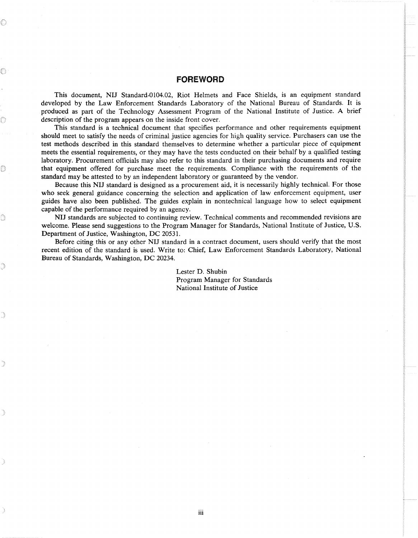## **FOREWORD**

This document, NIJ Standard-0104.02, Riot Helmets and Face Shields, is an equipment standard developed by the Law Enforcement Standards Laboratory of the National Bureau of Standards. It is produced as part of the Technology Assessment Program of the National Institute of Justice. A brief description of the program appears on the inside front cover.

This standard is a technical document that specifies performance and other requirements equipment should meet to satisfy the needs of criminal justice agencies for high quality service. Purchasers can use the test methods described in this standard themselves to determine whether a particular piece of equipment meets the essential requirements, or they may have the tests conducted on their behalf by a qualified testing laboratory. Procurement officials may also refer to this standard in their purchasing documents and require that equipment offered for purchase meet the requirements. Compliance with the requirements of the standard may be attested to by an independent laboratory or guaranteed by the vendor.

Because this NIJ standard is designed as a procurement aid, it is necessarily highly technical. For those who seek general guidance concerning the selection and application of law enforcement equipment, user guides have also been published. The guides explain in nontechnical language how to select equipment capable of the performance required by an agency.

NIJ standards are subjected to continuing review. Technical comments and recommended revisions are welcome. Please send suggestions to the Program Manager for Standards, National Institute of Justice, U.S. Department of Justice, Washington, DC 20531.

Before citing this or any other NIJ standard in a contract document, users should verify that the most recent edition of the standard is used. Write to: Chief, Law Enforcement Standards Laboratory, National Bureau of Standards, Washington, DC 20234.

> Lester D. Shubin Program Manager for Standards National Institute of Justice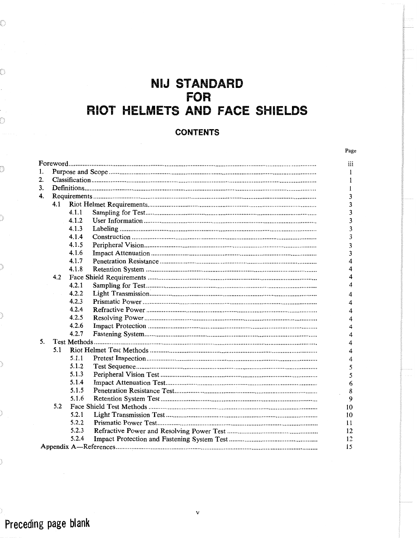## **NIJ STANDARD FOR** RIOT HELMETS AND FACE SHIELDS

## **CONTENTS**

| I |
|---|
|---|

| 1. |     |       |  |                |  |
|----|-----|-------|--|----------------|--|
| 2. |     |       |  |                |  |
| 3. |     |       |  |                |  |
| 4. |     |       |  |                |  |
|    | 4.1 |       |  |                |  |
|    |     | 4.1.1 |  | 3              |  |
|    |     | 4.1.2 |  | 3              |  |
|    |     | 4.1.3 |  | 3              |  |
|    |     | 4.1.4 |  | 3              |  |
|    |     | 4.1.5 |  | 3              |  |
|    |     | 4.1.6 |  | $\overline{3}$ |  |
|    |     | 4.1.7 |  | 4              |  |
|    |     | 4.1.8 |  | 4              |  |
|    | 4.2 |       |  |                |  |
|    |     | 4.2.1 |  | 4              |  |
|    |     | 4.2.2 |  | 4              |  |
|    |     | 4.2.3 |  | 4              |  |
|    |     | 4.2.4 |  | $\overline{4}$ |  |
|    |     | 4.2.5 |  | $\overline{4}$ |  |
|    |     | 4.2.6 |  | $\overline{4}$ |  |
|    |     | 4.2.7 |  | 4              |  |
| 5. |     |       |  |                |  |
|    | 5.1 |       |  | 4              |  |
|    |     | 5.1.1 |  | 4              |  |
|    |     | 5.1.2 |  | 5              |  |
|    |     | 5.1.3 |  | 5              |  |
|    |     | 5.1.4 |  | 6              |  |
|    |     | 5.1.5 |  | 8              |  |
|    |     | 5.1.6 |  | 9              |  |
|    | 5.2 |       |  |                |  |
|    |     | 5.2.1 |  | 10<br>10       |  |
|    |     | 5.2.2 |  | 11             |  |
|    |     | 5.2.3 |  | 12             |  |
|    |     | 5.2.4 |  | 12             |  |
|    |     |       |  |                |  |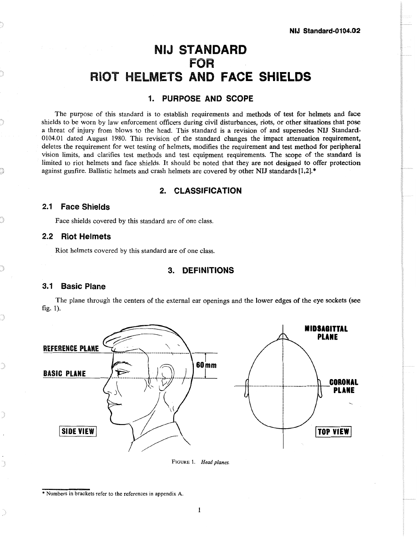## **NlJ STANDARD FOR RIOT HELMETS AND FACE SHIELDS**

## **1. PURPOSE AND SCOPE**

The purpose of this standard is to establish requirements and methods of test for helmets and face shields to be worn by law enforcement officers during civil disturbances, riots, or other situations that pose a threat of injury from blows to the head. This standard is a revision of and supersedes NIJ Standard-0104.01 dated August 1980. This revision of the standard changes the impact attenuation requirement, deletes the requirement for wet testing of helmets, modifies the requirement and test method for peripheral vision limits, and clarifies test methods and test equipment requirements. The scope of the standard **is**  limited to riot helmets and face shields. It should be noted that they are not designed to offer protection against gunfire. Ballistic helmets and crash helmets are covered by other NIJ standards **[1,2].\*** 

## **2. CLASSIFICATION**

## **2.1 Face Shields**

Face shields covered by this standard are of one class.

## **2.2 Riot Helmets**

Riot helmets covered by this standard are of one class.

## **3. DEFINITIONS**

## **3.1 Basic Plane**

The plane through the centers of the external ear openings and the lower edges of the eye sockets (see fig. 1).



**FIGURE** 1. *Head planes.*

<sup>\*</sup> Numbers in brackets refer to the references in appendix A.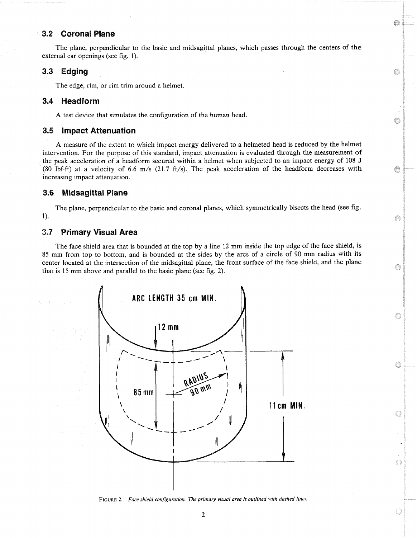## **3.2 Coronal Plane**

The plane, perpendicular to the basic and midsagittal planes, which passes through the centers of the external ear openings (see fig. 1).

e

◈

G

0

G

0

Ò

Q

0

## **3.3 Edging**

The edge, rim, or rim trim around a helmet.

#### 3.4 Headform

**A** test device that simulates the configuration of the human head.

## **3.5 impact Attenuation**

**A** measure of the extent to which impact energy delivered to a helmeted head is reduced by the helmet intervention. For the purpose of this standard, impact attenuation is evaluated through the measurement of the peak acceleration of a headform secured within a helmet when subjected to an impact energy of 108 J (80 lbf-ft) at a velocity of 6.6 m/s (21.7 ft/s). The peak acceleration of the headform decreases with increasing impact attenuation.

#### **Midsagittal Plane**  $3.6$

The plane, perpendicular to the basic and coronal planes, which symmetrically bisects the head (see fig. 1).

## **3.7 Primary Visual Area**

The face shield area that is bounded at the top by a line 12 mm inside the top edge of the face shield, is 85 mm from top to bottom, and is bounded at the sides by the arcs of a circle of 90 mm radius with its center located at the intersection of the midsagittal plane, the front surface of the face shield, and the plane that is 15 mm above and parallel to the basic plane (see fig. 2).



FIGURE 2. Face shield configuration. The primary visual area is outlined with dashed lines.

 $\overline{2}$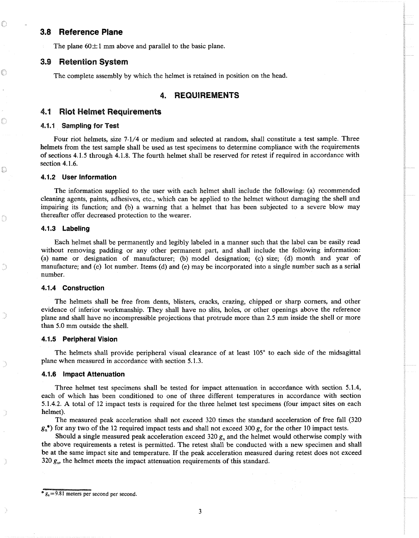#### **3.8 Reference Plane**

The plane  $60 \pm 1$  mm above and parallel to the basic plane.

#### **3.9 Retention System**

The complete assembly by which the helmet is retained in position on the head.

#### **REQUIREMENTS** 4.

#### **4.1 Riot Helmet Requirements**

#### **4.1.1 Sampling for Test**

Four riot helmets, size 7-1/4 or medium and selected at random, shall constitute a test sample. Three helmets from the test sample shall be used as test specimens to determine compliance with the requirements of sections 4.1.5 through 4.1.8. The fourth helmet shall be reserved for retest if required in accordance with section 4.1.6.

#### **4.1.2 User Information**

The information supplied to the user with each helmet shall include the following: (a) recommended cleaning agents, paints, adhesives, etc., which can be applied to the helmet without damaging the shell and impairing its function; and (b) a warning that a helmet that has been subjected to a severe blow may thereafter offer decreased protection to the wearer.

#### **4.1.3 Labeling**

Each helmet shall be permanently and legibly labeled in a manner such that the label can be easily read without removing padding or any other permanent part, and shall include the following information: (a) name or designation of manufacturer; (b) model designation; (c) size; (d) month and year of manufacture; and (e) lot number. Items (d) and (e) may be incorporated into a single number such as a serial number.

#### **4.1.4 Construction**

The helmets shall be free from dents, blisters, cracks, crazing, chipped or sharp corners, and other evidence of inferior workmanship. They shall have no slits, holes, or other openings above the reference plane and shall have no incompressible projections that protrude more than 2.5 mm inside the shell or more than 5.0 mm outside the shell.

#### **4.1.5 Peripheral Vision**

The helmets shall provide peripheral visual clearance of at least **105"** to each side of the midsagittal plane when measured in accordance with section 5.1.3.

#### **4.1.6 Impact Attenuation**

Three helmet test specimens shall be tested for impact attenuation in accordance with section 5.1.4, each of which has been conditioned to one of three different temperatures in accordance with section 5.1.4.2. **A** total of 12 impact tests is required for the three helmet test specimens (four impact sites on each helmet).

The measured peak acceleration shall not exceed 320 times the standard acceleration of free fall (320  $g_n^*$ ) for any two of the 12 required impact tests and shall not exceed 300  $g_n$  for the other 10 impact tests.

Should a single measured peak acceleration exceed 320 *g,,* and the helmet would otherwise comply with the above requirements a retest is permitted. The retest shall be conducted with a new specimen and shall be at the same impact site and temperature. If the peak acceleration measured during retest does not exceed 320  $g_n$ , the helmet meets the impact attenuation requirements of this standard.

 $s_n = 9.81$  meters per second per second.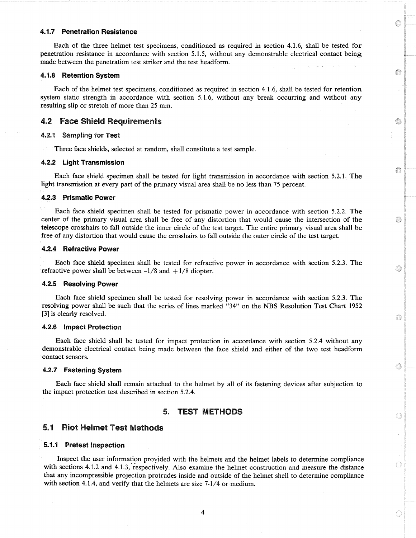#### **4.1.7 Penetration Resistance**

Each of the three helmet test specimens, conditioned as required in section 4.1.6, shall be tested for penetration resistance in accordance with section 5.1.5, without any demonstrable electrical contact being made between the penetration test striker and the test headform.

O

0

◈

0

6

♦

0

Ô

Q

0

#### **4.1.8 Retention System**

Each of the helmet test specimens, conditioned as required in section 4.1.6, shall be tested for retention system static strength in accordance with section 5.1.6, without any break occurring and without any resulting slip or stretch of more than 25 mm.

### **4.2 Face Shield Requirements**

#### **4.%.4 Sampling for Test**

Three face shields, selected at random, shall constitute a test sample.

#### **4.2.2 Light Transmission**

Each face shield specimen shall be tested for light transmission in accordance with section 5.2.1. The light transmission at every part of the primary visual area shall be no less than 75 percent.

#### **4.2.3 Prismatic Power**

Each face shield specimen shall be tested for prismatic power in accordance with section 5.2.2. The center of the primary visual area shall be free of any distortion that would cause the intersection of the telescope crosshairs to fall outside the inner circle of the test target. The entire primary visual area shall be free of any distortion that would cause the crosshairs to fall outside the outer circle of the test target.

#### **4.2.4 Refractive Power**

Each face shield specimen shall be tested for refractive power in accordance with section 5.2.3. The refractive power shall be between  $-1/8$  and  $+1/8$  diopter.

#### **4.2.5 Resolving Power**

Each face shield specimen shall be tested for resolving power in accordance with section 5.2.3. The resolving power shall be such that the series of lines marked "34" on the NBS Resolution Test Chart 1952 **[3]** is clearly resolved.

#### **4.2.6 Impact Protection**

Each face shield shall be tested for impact protection in accordance with section 5.2.4 without any demonstrable electrical contact being made between the face shield and either of the two test headform contact sensors.

#### **4.2.7' Fastening System**

Each face shield shall remain attached to the helmet by all of its fastening devices after subjection to the impact protection test described in section 5.2.4.

#### **5. EST METHODS**

#### **5.1 Riot Helmet Test Methods**

#### **5.1.1 Pretest Inspection**

Inspect the user information proyided with the helmets and the helmet labels to determine compliance with sections 4.1.2 and 4.1.3, respectively. Also examine the helmet construction and measure the distance that any incompressible projection protrudes inside and outside of the helmet shell to determine compliance with section 4.1.4, and verify that the helmets are size 7-1/4 or medium.

4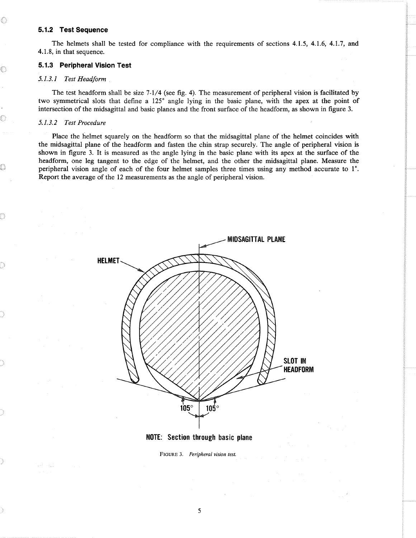#### **5.1.2 Test Sequence**

The helmets shall be tested for compliance with the requirements of sections 4.1.5, 4.1.6, 4.1.7, and 4.1.8, in that sequence.

#### **5.1.3 Peripheral Vision Test**

#### *5.1.3.1 Test Headform*

The test headform shall be size 7-1/4 (see fig. 4). The measurement of peripheral vision is facilitated by two symmetrical slots that define a 125" angle lying in the basic plane, with the apex at the point of intersection of the midsagittal and basic planes and the front surface of the headform, as shown in figure **3.** 

#### *5.1.3.2 Test Procedure*

Place the helmet squarely on the headform so that the midsagittal plane of the helmet coincides with the midsagittal plane of the headform and fasten the chin strap securely. The angle of peripheral vision is shown in figure 3. It is measured as the angle lying in the basic plane with its apex at the surface of the headform, one leg tangent to the edge of the helmet, and the other the midsagittal plane. Measure the peripheral vision angle of each of the four helmet samples three times using any method accurate to  $1^\circ$ . Report the average of the 12 measurements as the angle of peripheral vision.





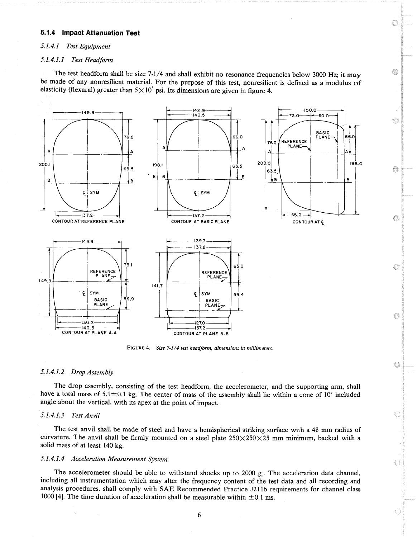#### **5.1.4 Impact Attenuation Test**

#### *5.1.4.1 Test Equipment*

#### **I** *I .***4.** *I. I Test Headform*

The test headform shall be size 7-1/4 and shall exhibit no resonance frequencies below **3000** Hz; it may be made of any nonresilient material. For the purpose of this test, nonresilient is defined as a modulus of elasticity (flexural) greater than  $5 \times 10^5$  psi. Its dimensions are given in figure 4.

G

O

♦

€

░

63

0

O

Ó

E)

♦



**FIGURE 4.** *Size 7-1/4 test headform, dimensions in millimeters.* 

#### *5.1.4.1.2 Drop Assembly*

The drop assembly, consisting of the test headform, the accelerometer, and the supporting arm, shall have a total mass of  $5.1 \pm 0.1$  kg. The center of mass of the assembly shall lie within a cone of 10° included angle about the vertical, with its apex at the point of impact.

#### *5.1.4.1.3 Test Anvil*

The test anvil shall be made of steel and have a hemispherical striking surface with a 48 mm radius of curvature. The anvil shall be firmly mounted on a steel plate  $250\times250\times25$  mm minimum, backed with a solid mass of at least 140 kg.

#### *5.1.4.1.4 Acceleration Measurement System*

The accelerometer should be able to withstand shocks up to 2000  $g_n$ . The acceleration data channel, including all instrumentation which may alter the frequency content of the test data and all recording and analysis procedures, shall comply with SAE Recommended Practice J211b requirements for channel class 1000 [4]. The time duration of acceleration shall be measurable within  $\pm 0.1$  ms.

6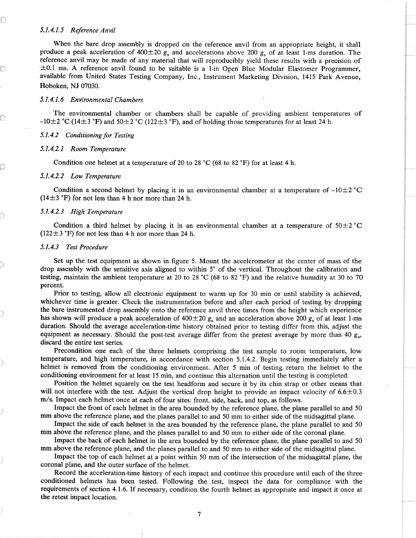#### *5.1.4.1.5 Reference Anvil*

When the bare drop assembly is dropped on the reference anvil from an appropriate height, it shall produce a peak acceleration of  $400 \pm 20$   $g_n$  and accelerations above 200  $g_n$  of at least 1-ms duration. The reference anvil may be made of any material that will reproducibly yield these results with a precision of  $\pm 0.1$  ms. A reference anvil found to be suitable is a 1-in Open Blue Modular Elastomer Programmer, available from United States Testing Company, Inc., Instrument Marketing Division, 1415 Park Avenue, Hoboken, **NJ** 07030.

#### *5.1.4.1.6 Environmental Chambers*

The environmental chamber or chambers shall be capable of providing ambient temperatures of  $-10\pm2$  °C (14 $\pm3$  °F) and 50 $\pm2$  °C (122 $\pm3$  °F), and of holding those temperatures for at least 24 h.

#### *5.1.4.2 Conditioning for Testing*

#### *5.1.4.2.1 Room Temperature*

Condition one helmet at a temperature of 20 to 28 °C (68 to 82 °F) for at least 4 h.

#### *5.1.4.2.2 Low Temperature*

Condition a second helmet by placing it in an environmental chamber at a temperature of  $-10\pm 2$  <sup>°</sup>C  $(14\pm3 \degree F)$  for not less than 4 h nor more than 24 h.

#### *5.1.4.2.3 High Temperature*

Condition a third helmet by placing it in an environmental chamber at a temperature of  $50\pm2$  <sup>"</sup>C  $(122 \pm 3 \text{ }^{\circ}\text{F})$  for not less than 4 h nor more than 24 h.

#### *5.1.4.3 Test Procedure*

Set up the test equipment as shown in figure 5. Mount the accelerometer at the center of mass of the drop assembly with the sensitive axis aligned to within 5" of the vertical. Throughout the calibration and testing, maintain the ambient temperature at 20 to 28 °C (68 to 82 °F) and the relative humidity at 30 to 70 percent.

Prior to testing, allow all electronic equipment to warm up for 30 min or until stability is achieved, whichever time is greater. Check the instrumentation before and after each period of testing by dropping the bare instrumented drop assembly onto the reference anvil three times from the height which experience has shown will produce a peak acceleration of  $400\pm20$  g<sub>n</sub> and an acceleration above 200 g<sub>n</sub> of at least 1-ms duration. Should the average acceleration-time history obtained prior to testing differ from this, adjust the equipment as necessary. Should the post-test average differ from the pretest average by more than 40  $g_n$ , discard the entire test series.

Precondition one each of the three helmets comprising the test sample to room temperature, low temperature, and high temperature, in accordance with section 5.1.4.2. Begin testing immediately after a helmet is removed from the conditioning environment. After 5 min of testing return the helmet to the conditioning environment for at least 15 min, and continue this alternation until the testing is completed.

Position the helmet squarely on the test headform and secure it by its chin strap or other means that will not interfere with the test. Adjust the vertical drop height to provide an impact velocity of  $6.6\pm0.3$ **m/s.** Impact each helmet once at each of four sites: front, side, back, and top, as follows.

Impact the front of each helmet in the area bounded by the reference plane, the plane parallel to and 50 **mm** above the reference plane, and the planes parallel to and 50 mm to either side of the midsagittal plane.

Impact the side of each helmet in the area bounded by the reference plane, the plane parallel to and 50 mm above the reference plane, and the planes parallel to and 50 mm to either side of the coronal plane.

Impact the back of each helmet in the area bounded by the reference plane, the plane parallel to and 50 mm above the reference plane, and the planes parallel to and 50 mm to either side of the midsagittal plane.

Impact the top of each helmet at a point within 50 mm of the intersection of the midsagittal plane, the coronal plane, and the outer surface of the helmet.

Record the acceleration-time history of each impact and continue this procedure until each of the three conditioned helmets has been tested. Following the test, inspect the data for compliance with the requirements of section 4.1.6. If necessary, condition the fourth helmet as appropriate and impact it once at the retest impact location.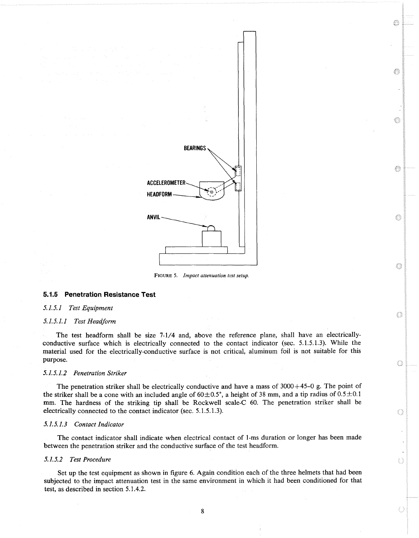

FIGURE 5. *Impact attenuation test setup.* 

#### **5.1.5 Penetration Resistance Test**

#### **5.1.5.1** *Test Equipment*

#### **5.I. 5.1.1** *Test Headform*

The test headform shall be size 7-1/4 and, above the reference plane, shall have an electricallyconductive surface which is electrically connected to the contact indicator (sec. 5.1.5.1.3). While the material used for the electrically-conductive surface is not critical, aluminum foil is not suitable for this purpose.

#### **5.1.5.1.2** *Penetration Striker*

The penetration striker shall be electrically conductive and have a mass of  $3000+45-0$  g. The point of the striker shall be a cone with an included angle of  $60\pm0.5^{\circ}$ , a height of 38 mm, and a tip radius of  $0.5\pm0.1$ mm. The hardness of the striking tip shall be Rockwell scale-C 60. The penetration striker shall be electrically connected to the contact indicator (sec. 5.1.5.1.3).

#### **5.1.5.1.3** *Contact Indicator*

The contact indicator shall indicate when electrical contact of 1-ms duration or longer has been made between the penetration striker and the conductive surface of the test headform.

#### **5.1.5.2** *Test Procedure*

Set up the test equipment as shown in figure 6. Again condition each of the three helmets that had been subjected to the impact attenuation test in the same environment in which it had been conditioned for that test, as described in section 5.1.4.2.

8

O

Œ

€

Ó

63

O)

O

Ó

Ó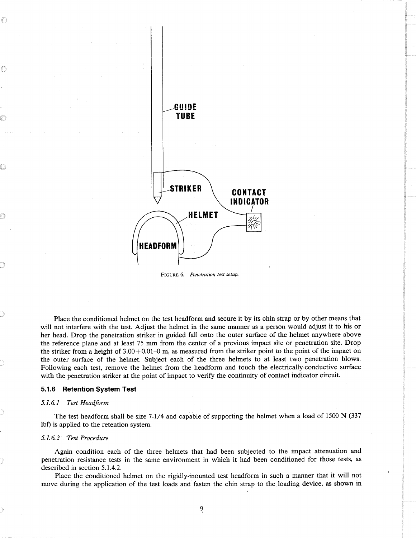

*FIGURE6. Penetration test setup.* 

Place the conditioned helmet on the test headform and secure it by its chin strap or by other means that will not interfere with the test. Adjust the helmet in the same manner as a person would adjust it to his or her head. Drop the penetration striker in guided fall onto the outer surface of the helmet anywhere above the reference plane and at least **75** mm from the center of a previous impact site or penetration site. Drop the striker from a height of 3.00+0.01-0 m, as measured from the striker point to the point of the impact on the outer surface of the helmet. Subject each of the three helmets to at least two penetration blows. Following each test, remove the helmet from the headform and touch the electrically-conductive surface with the penetration striker at the point of impact to verify the continuity of contact indicator circuit.

#### **5.1.6 Retention System Test**

#### *5.1.6.1 Test Headform*

The test headform shall be size **7-1/4** and capable of supporting the helmet when a load of 1500 N **(337**  lbf) is applied to the retention system.

#### *5.1.6.2 Test Procedure*

Again condition each of the three helmets that had been subjected to the impact attenuation and penetration resistance tests in the same environment in which it had been conditioned for those tests, as described in section 5.1.4.2.

Place the conditioned helmet on the rigidly-mounted test headform in such a manner that it will not move during the application of the test loads and fasten the chin strap to the loading device, as shown in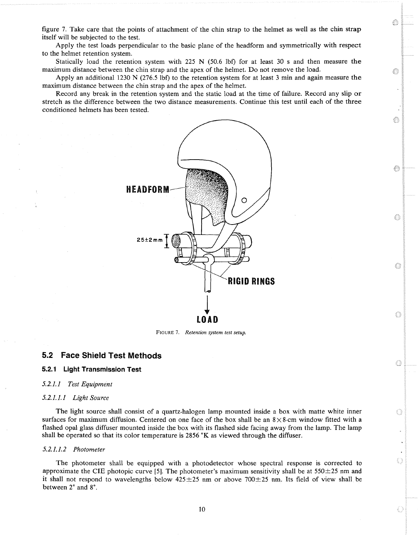figure 7. Take care that the points of attachment of the chin strap to the helmet as well as the chin strap itself will be subjected to the test.

Apply the test loads perpendicular to the basic plane of the headform and symmetrically with respect to the helmet retention system.

Statically ioad the retention system with 225 N (50.6 lbf) for at least 30 s and then measure the maximum distance between the chin strap and the apex of the helmet. Do not remove the load.

O

◈

€

63

0

 $\bigcirc$ 

O

O

O

Apply an additional 1230 N (276.5 lbf) to the retention system for at least 3 min and again measure the maximum distance between the chin strap and the apex of the helmet.

Record any break in the retention system and the static load at the time of failure. Record any slip or stretch as the difference between the two distance measurements. Continue this test until each of the three conditioned helmets has been tested.



FIGURE **7.** *Retention system test setup.* 

## **5.2 Face Shield Test Methods**

### **5.2.1 Light Transmission Test**

#### *5.2.1.1 Test Equipment*

#### *5.2.1.1.1 Light Source*

The light source shall consist of a quartz-halogen lamp mounted inside a box with matte white inner surfaces for maximum diffusion. Centered on one face of the box shall be an  $8 \times 8$ -cm window fitted with a flashed opal glass diffuser mounted inside the box with its flashed side facing away from the lamp. The lamp shall be operated so that its color temperature is 2856 **"K**as viewed through the diffuser.

#### *5.2.1.1.2 Photometer*

The photometer shall be equipped with a photodetector whose spectral response is corrected to approximate the CIE photopic curve [5]. The photometer's maximum sensitivity shall be at  $550\pm25$  nm and it shall not respond to wavelengths below  $425\pm25$  nm or above 700 $\pm25$  nm. Its field of view shall be between  $2^{\circ}$  and  $8^{\circ}$ .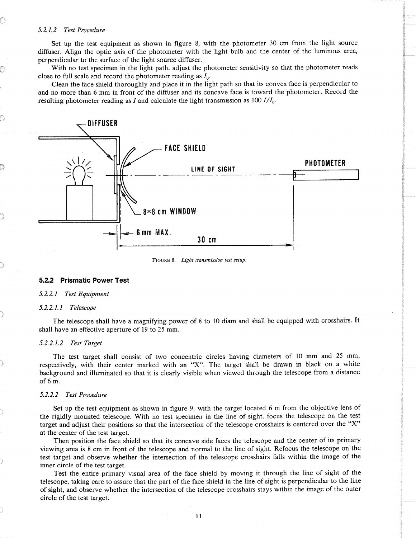#### *5.2.1.2 Test Procedure*

Set up the test equipment as shown in figure 8, with the photometer 30 cm from the light source diffuser. Align the optic axis of the photometer with the light bulb and the center of the luminous area, perpendicular to the surface of the light source diffuser.

With no test specimen in the light path, adjust the photometer sensitivity so that the photometer reads close to full scale and record the photometer reading as *I,.* 

Clean the face shield thoroughly and place it in the light path so that its convex face is perpendicular to and no more than 6 mm in front of the diffuser and its concave face is toward the photometer. Record the resulting photometer reading as I and calculate the light transmission as 100 *I/Io.* 



FIGURE 8. *Light transmission test setup.* 

#### **5.2.2 Prismatic Power Test**

#### 5.2.2.1 Test Equipment

#### *5.2.2.1.1 Telescope*

The telescope shall have a magnifying power of 8 to 10 diam and shall be equipped with crosshairs. It shall have an effective aperture of 19 to *25* mm.

#### *5.2.2.1.2 Test Target*

The test target shall consist of two concentric circles having diameters of 10 mm and 25 mm, respectively, with their center marked with an "X". The target shall be drawn in black on a white background and illuminated so that it is clearly visible when viewed through the telescope from a distance of *6* m.

#### *5.2.2.2 Test Procedure*

Set up the test equipment as shown in figure 9, with the target located 6 m from the objective lens of the rigidly mounted telescope. With no test specimen in the line of sight, focus the telescope on the test target and adjust their positions so that the intersection of the telescope crosshairs is centered over the "X" at the center of the test target.

Then position the face shield so that its concave side faces the telescope and the center of its primary viewing area is 8 cm in front of the telescope and normal to the line of sight. Refocus the telescope on the test target and observe whether the intersection of the telescope crosshairs falls within the image of the inner circle of the test target.

Test the entire primary visual area of the face shield by moving it through the line of sight of the telescope, taking care to assure that the part of the face shield in the line of sight is perpendicular to the line of sight, and observe whether the intersection of the telescope crosshairs stays within the image of the outer circle of the test target.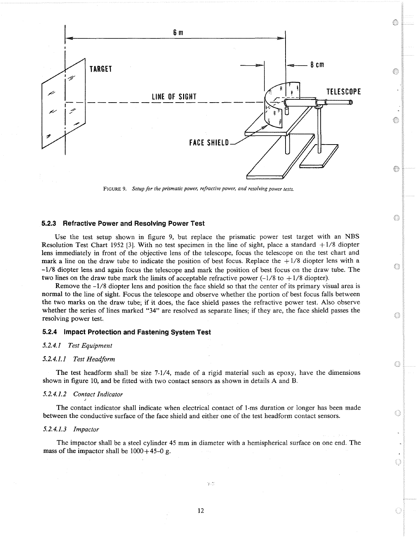

€

◈

0

Ò

O

0

O

FIGURE 9. *Setup for the prismatic power, refractive power, and resolving power tests.* 

#### **5.2.3 Refractive Power and Resolving Power Test**

Use the test setup shown in figure 9, but replace the prismatic power test target with an NBS Resolution Test Chart 1952 [3]. With no test specimen in the line of sight, place a standard  $+1/8$  diopter lens immediately in front of the objective lens of the telescope, focus the telescope on the test chart and mark a line on the draw tube to indicate the position of best focus. Replace the  $+1/8$  diopter lens with a -1/8 diopter lens and again focus the telescope and mark the position of best focus on the draw tube. The two lines on the draw tube mark the limits of acceptable refractive power  $(-1/8 \text{ to } +1/8 \text{ diopter})$ .

Remove the -1/8 diopter lens and position the face shield so that the center of its primary visual area is normal to the line of sight. Focus the telescope and observe whether the portion of best focus falls between the two marks on the draw tube; if it does, the face shield passes the refractive power test. Also observe whether the series of lines marked "34" are resolved as separate lines; if they are, the face shield passes the resolving power test.

#### **5.2.4 impact Protection and Fastening System Test**

**5.2.4.1** *Test Equipment* 

## **5.2.4.1.1** *Test Headform* -

The test headform shall be size 7-1/4, made of a rigid material such as epoxy, have the dimensions shown in figure 10, and be fitted with two contact sensors as shown in details A and B.

#### **5.2.4.1.2** *Contact Indicator* **J**

The contact indicator shall indicate when electrical contact of 1-ms duration or longer has been made between the conductive surface of the face shield and either one of the test headform contact sensors.

#### **5.2.4.1.3** *Impactor*

The impactor shall be a steel cylinder 45 mm in diameter with a hemispherical surface on one end. The mass of the impactor shall be  $1000+45-0$  g.

 $2<sup>o</sup>$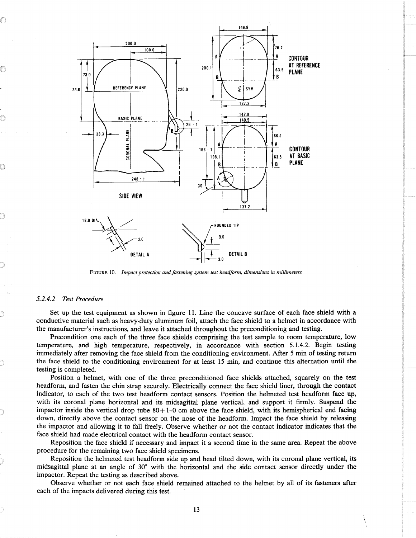

**FIGURE** 10. *Impact protection and fastening system test headform, dimensions in millimeters.* 

#### *5.2.4.2 Test Procedure*

Set up the test equipment as shown in figure 11. Line the concave surface of each face shield with a conductive material such as heavy-duty aluminum foil, attach the face shield to a helmet in accordance with the manufacturer's instructions, and leave it attached throughout the preconditioning and testing.

Precondition one each of the three face shields comprising the test sample to room temperature, low temperature, and high temperature, respectively, in accordance with section 5.1.4.2. Begin testing immediately after removing the face shield from the conditioning environment. After 5 min of testing return the face shield to the conditioning environment for at least 15 min, and continue this alternation until the testing is completed.

Position a helmet, with one of the three preconditioned face shields attached, squarely on the test headform, and fasten the chin strap securely. Electrically connect the face shield liner, through the contact indicator, to each of the two test headform contact sensors. Position the helmeted test headform face up, with its coronal plane horizontal and its midsagittal plane vertical, and support it firmly. Suspend the impactor inside the vertical drop tube  $80+1-0$  cm above the face shield, with its hemispherical end facing down, directly above the contact sensor on the nose of the headform. Impact the face shield by releasing the impactor and allowing it to fall freely. Observe whether or not the contact indicator indicates that the face shield had made electrical contact with the headform contact sensor.

Reposition the face shield if necessary and impact it a second time in the same area. Repeat the above procedure for the remaining two face shield specimens.

Reposition the helmeted test headform side up and head tilted down, with its coronal plane vertical, its midsagittal plane at an angle of 30" with the horizontal and the side contact sensor directly under the impactor. Repeat the testing as described above.

Observe whether or not each face shield remained attached to the helmet by all of its fasteners after each of the impacts delivered during this test.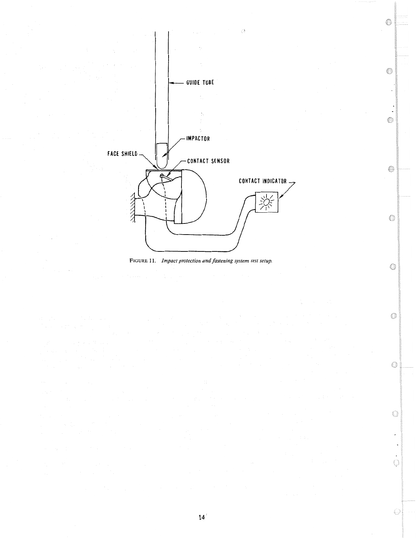

ð



◈

 $\blacksquare$ ◈

⊜

 $\circledcirc$ 

0

 $\mathbb{G}% _{\ell}$ 

 $\circlearrowright$ 

Ġ

 $\overline{\phantom{a}}$ 

 $\bar{\star}$  $\begin{picture}(220,20) \put(0,0){\dashbox{0.5}(10,0){ }} \put(15,0){\dashbox{0.5}(10,0){ }} \put(15,0){\dashbox{0.5}(10,0){ }} \put(15,0){\dashbox{0.5}(10,0){ }} \put(15,0){\dashbox{0.5}(10,0){ }} \put(15,0){\dashbox{0.5}(10,0){ }} \put(15,0){\dashbox{0.5}(10,0){ }} \put(15,0){\dashbox{0.5}(10,0){ }} \put(15,0){\dashbox{0.5}(10,0){ }} \put(15,0){\dashbox$